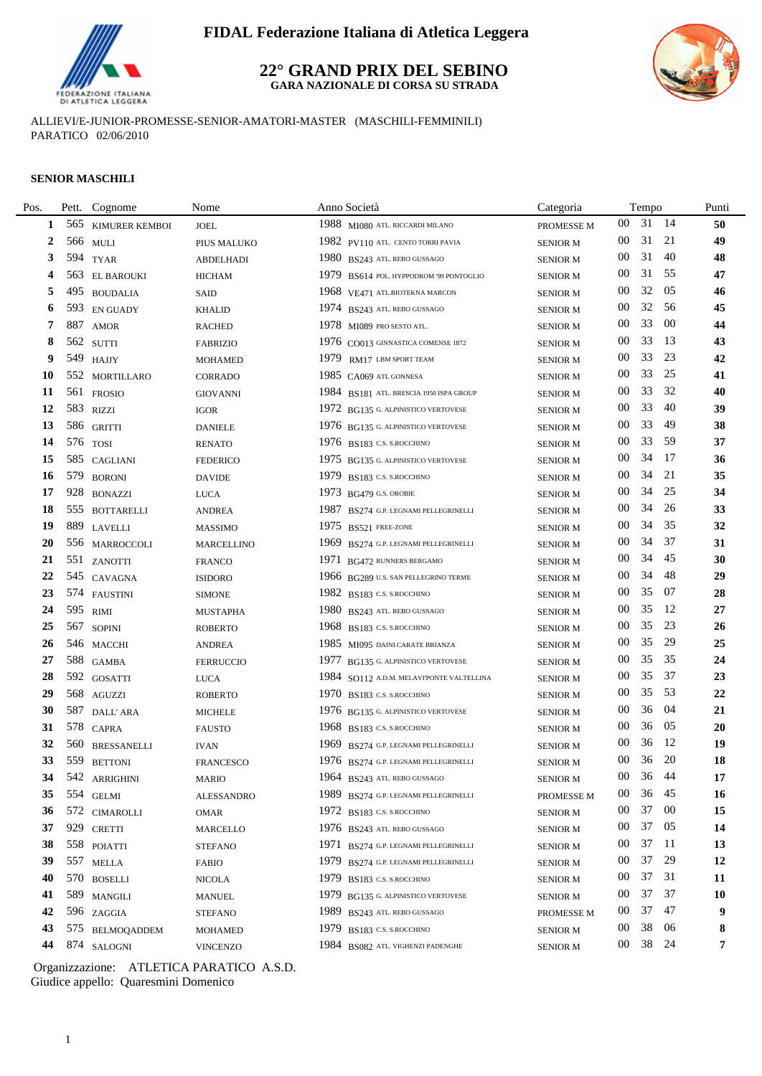

#### **22° GRAND PRIX DEL SEBINO GARA NAZIONALE DI CORSA SU STRADA**



ALLIEVI/E-JUNIOR-PROMESSE-SENIOR-AMATORI-MASTER (MASCHILI-FEMMINILI) PARATICO 02/06/2010

#### **SENIOR MASCHILI**

| Pos. |     | Pett. Cognome      | Nome              | Anno Società                             | Categoria       |                 | Tempo |        | Punti  |
|------|-----|--------------------|-------------------|------------------------------------------|-----------------|-----------------|-------|--------|--------|
| 1    |     | 565 KIMURER KEMBOI | <b>JOEL</b>       | 1988 MI080 ATL. RICCARDI MILANO          | PROMESSE M      | 00              | 31 14 |        | $50\,$ |
| 2    |     | 566 MULI           | PIUS MALUKO       | 1982 PV110 ATL. CENTO TORRI PAVIA        | <b>SENIOR M</b> | 00              | 31    | 21     | 49     |
| 3    |     | 594 TYAR           | <b>ABDELHADI</b>  | 1980 BS243 ATL REBO GUSSAGO              | <b>SENIOR M</b> | 00              | 31    | 40     | 48     |
| 4    |     | 563 EL BAROUKI     | <b>HICHAM</b>     | 1979 BS614 POL. HYPPODROM '99 PONTOGLIO  | <b>SENIOR M</b> | 00              | 31    | 55     | 47     |
| 5    | 495 | <b>BOUDALIA</b>    | SAID              | 1968 VE471 ATL.BIOTEKNA MARCON           | <b>SENIOR M</b> | 00              | 32    | 05     | 46     |
| 6    |     | 593 EN GUADY       | <b>KHALID</b>     | 1974 BS243 ATL REBO GUSSAGO              | <b>SENIOR M</b> | 00              | 32    | -56    | 45     |
| 7    | 887 | <b>AMOR</b>        | <b>RACHED</b>     | 1978 MI089 PRO SESTO ATL.                | <b>SENIOR M</b> | 00              | 33    | -00    | 44     |
| 8    |     | 562 SUTTI          | <b>FABRIZIO</b>   | 1976 CO013 GINNASTICA COMENSE 1872       | <b>SENIOR M</b> | 00              | 33    | 13     | 43     |
| 9    |     | 549 HAJJY          | <b>MOHAMED</b>    | 1979 RM17 LBM SPORT TEAM                 | <b>SENIOR M</b> | $00\,$          | 33    | 23     | 42     |
| 10   |     | 552 MORTILLARO     | <b>CORRADO</b>    | 1985 $C_A$ 069 ATL GONNESA               | <b>SENIOR M</b> | $00\,$          | 33    | 25     | 41     |
| 11   |     | 561 FROSIO         | <b>GIOVANNI</b>   | 1984 BS181 ATL. BRESCIA 1950 ISPA GROUP  | <b>SENIOR M</b> | 00              | 33    | 32     | 40     |
| 12   |     | 583 RIZZI          | <b>IGOR</b>       | 1972 BG135 G. ALPINISTICO VERTOVESE      | <b>SENIOR M</b> | 00              | 33    | 40     | 39     |
| 13   |     | 586 GRITTI         | <b>DANIELE</b>    | 1976 BG135 G. ALPINISTICO VERTOVESE      | <b>SENIOR M</b> | 00              | 33    | 49     | 38     |
| 14   |     | 576 TOSI           | <b>RENATO</b>     | 1976 BS183 C.S. S. ROCCHINO              | <b>SENIOR M</b> | 00              | 33    | -59    | 37     |
| 15   |     | 585 CAGLIANI       | <b>FEDERICO</b>   | 1975 BG135 G. ALPINISTICO VERTOVESE      | <b>SENIOR M</b> | 00              | 34    | -17    | 36     |
| 16   |     | 579 BORONI         | <b>DAVIDE</b>     | 1979 BS183 C.S. S. ROCCHINO              | <b>SENIOR M</b> | 00              | 34    | 21     | 35     |
| 17   |     | 928 BONAZZI        | <b>LUCA</b>       | 1973 BG479 G.S. OROBIE                   | <b>SENIOR M</b> | 00              | 34    | 25     | 34     |
| 18   |     | 555 BOTTARELLI     | <b>ANDREA</b>     | 1987 BS274 G.P. LEGNAMI PELLEGRINELLI    | <b>SENIOR M</b> | 00              | 34    | 26     | 33     |
| 19   |     | 889 LAVELLI        | <b>MASSIMO</b>    | 1975 BS521 FREE-ZONE                     | <b>SENIOR M</b> | 00              | 34    | 35     | 32     |
| 20   |     | 556 MARROCCOLI     | <b>MARCELLINO</b> | 1969 BS274 G.P. LEGNAMI PELLEGRINELLI    | <b>SENIOR M</b> | $00\,$          | 34    | 37     | 31     |
| 21   |     | 551 ZANOTTI        | <b>FRANCO</b>     | 1971 BG472 RUNNERS BERGAMO               | <b>SENIOR M</b> | $00\,$          | 34    | 45     | 30     |
| 22   |     | 545 CAVAGNA        | <b>ISIDORO</b>    | 1966 BG289 U.S. SAN PELLEGRINO TERME     | <b>SENIOR M</b> | 00              | 34    | 48     | 29     |
| 23   |     | 574 FAUSTINI       | <b>SIMONE</b>     | 1982 BS183 C.S. S.ROCCHINO               | <b>SENIOR M</b> | 00              | 35    | 07     | 28     |
| 24   |     | 595 RIMI           | <b>MUSTAPHA</b>   | 1980 BS243 ATL. REBO GUSSAGO             | <b>SENIOR M</b> | 00              | 35    | -12    | 27     |
| 25   |     | 567 SOPINI         | <b>ROBERTO</b>    | 1968 BS183 C.S. S. ROCCHINO              | <b>SENIOR M</b> | 00              | 35    | 23     | 26     |
| 26   |     | 546 MACCHI         | <b>ANDREA</b>     | 1985 MI095 DAINI CARATE BRIANZA          | <b>SENIOR M</b> | 00              | 35    | 29     | 25     |
| 27   |     | 588 GAMBA          | <b>FERRUCCIO</b>  | 1977 BG135 G. ALPINISTICO VERTOVESE      | <b>SENIOR M</b> | 00              | 35    | 35     | 24     |
| 28   |     | 592 GOSATTI        | <b>LUCA</b>       | 1984 SO112 A.D.M. MELAVIPONTE VALTELLINA | <b>SENIOR M</b> | 00              | 35    | 37     | 23     |
| 29   |     | 568 AGUZZI         | <b>ROBERTO</b>    | 1970 BS183 C.S. S.ROCCHINO               | <b>SENIOR M</b> | 00              | 35    | -53    | 22     |
| 30   |     | 587 DALL' ARA      | <b>MICHELE</b>    | 1976 BG135 G. ALPINISTICO VERTOVESE      | <b>SENIOR M</b> | 00              | 36    | -04    | 21     |
| 31   |     | 578 CAPRA          | <b>FAUSTO</b>     | 1968 BS183 C.S. S. ROCCHINO              | <b>SENIOR M</b> | 00              | 36    | 05     | 20     |
| 32   |     | 560 BRESSANELLI    | <b>IVAN</b>       | 1969 BS274 G.P. LEGNAMI PELLEGRINELLI    | <b>SENIOR M</b> | 00              | 36    | -12    | 19     |
| 33   |     | 559 BETTONI        | <b>FRANCESCO</b>  | 1976 BS274 G.P. LEGNAMI PELLEGRINELLI    | <b>SENIOR M</b> | 00              | 36    | 20     | 18     |
| 34   | 542 | ARRIGHINI          | MARIO             | $1964$ BS243 ATL. REBO GUSSAGO           | <b>SENIOR M</b> | $00\,$          | 36 44 |        | 17     |
| 35   |     | 554 GELMI          | <b>ALESSANDRO</b> | 1989 BS274 G.P. LEGNAMI PELLEGRINELLI    | PROMESSE M      | 00              | 36    | 45     | 16     |
| 36   |     | 572 CIMAROLLI      | OMAR              | 1972 BS183 C.S. S. ROCCHINO              | <b>SENIOR M</b> | 00              | 37    | $00\,$ | 15     |
| 37   |     | 929 CRETTI         | <b>MARCELLO</b>   | 1976 BS243 ATL. REBO GUSSAGO             | <b>SENIOR M</b> | 00              | 37 05 |        | 14     |
| 38   |     | 558 POIATTI        | <b>STEFANO</b>    | 1971 BS274 G.P. LEGNAMI PELLEGRINELLI    | <b>SENIOR M</b> | 00              | 37    | - 11   | 13     |
| 39   |     | 557 MELLA          | <b>FABIO</b>      | 1979 BS274 G.P. LEGNAMI PELLEGRINELLI    | <b>SENIOR M</b> | 00              | 37    | 29     | 12     |
| 40   |     | 570 BOSELLI        | <b>NICOLA</b>     | 1979 BS183 C.S. S.ROCCHINO               | <b>SENIOR M</b> | 00              | 37    | 31     | 11     |
| 41   |     | 589 MANGILI        | <b>MANUEL</b>     | 1979 BG135 G. ALPINISTICO VERTOVESE      | <b>SENIOR M</b> | 00              | 37    | 37     | 10     |
| 42   |     | 596 ZAGGIA         | <b>STEFANO</b>    | 1989 BS243 ATL. REBO GUSSAGO             | PROMESSE M      | $00\,$          | 37    | - 47   | 9      |
| 43   |     | 575 BELMOQADDEM    | <b>MOHAMED</b>    | 1979 BS183 C.S. S. ROCCHINO              | <b>SENIOR M</b> | 00              | 38    | 06     | 8      |
| 44   |     | 874 SALOGNI        | <b>VINCENZO</b>   | 1984 BS082 ATL. VIGHENZI PADENGHE        | <b>SENIOR M</b> | 00 <sup>°</sup> | 38 24 |        | 7      |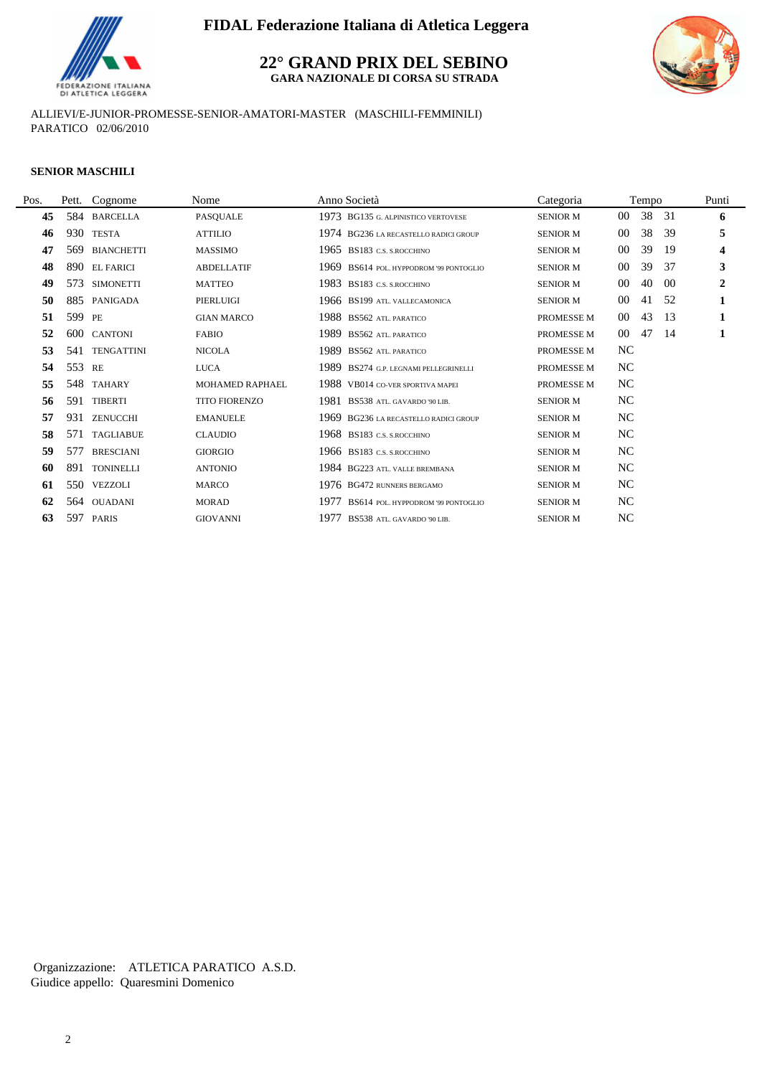

**22° GRAND PRIX DEL SEBINO**

**GARA NAZIONALE DI CORSA SU STRADA**



ALLIEVI/E-JUNIOR-PROMESSE-SENIOR-AMATORI-MASTER (MASCHILI-FEMMINILI) PARATICO 02/06/2010

#### **SENIOR MASCHILI**

| Pos. |        | Pett. Cognome     | Nome                 | Anno Società                               | Categoria       |                | Tempo |     | Punti                   |
|------|--------|-------------------|----------------------|--------------------------------------------|-----------------|----------------|-------|-----|-------------------------|
| 45   |        | 584 BARCELLA      | PASQUALE             | 1973 BG135 G. ALPINISTICO VERTOVESE        | <b>SENIOR M</b> | 00             | 38    | -31 | 6                       |
| 46   | 930    | <b>TESTA</b>      | <b>ATTILIO</b>       | 1974 BG236 LA RECASTELLO RADICI GROUP      | <b>SENIOR M</b> | 00             | 38    | 39  | 5                       |
| 47   | 569    | <b>BIANCHETTI</b> | <b>MASSIMO</b>       | 1965 BS183 C.S. S. ROCCHINO                | <b>SENIOR M</b> | $00\,$         | 39    | -19 | $\overline{\mathbf{4}}$ |
| 48   |        | 890 EL FARICI     | <b>ABDELLATIF</b>    | 1969 BS614 POL. HYPPODROM '99 PONTOGLIO    | <b>SENIOR M</b> | 00             | 39    | 37  | 3                       |
| 49   | 573    | <b>SIMONETTI</b>  | <b>MATTEO</b>        | 1983 BS183 C.S. S.ROCCHINO                 | <b>SENIOR M</b> | $00\,$         | 40    | -00 | $\overline{2}$          |
| 50   | 885    | PANIGADA          | PIERLUIGI            | 1966 BS199 ATL. VALLECAMONICA              | <b>SENIOR M</b> | $00\,$         | 41    | -52 | 1                       |
| 51   | 599    | PE                | <b>GIAN MARCO</b>    | 1988 BS562 ATL PARATICO                    | PROMESSE M      | $00\,$         | 43    | -13 | 1                       |
| 52   |        | 600 CANTONI       | <b>FABIO</b>         | 1989<br><b>BS562 ATL PARATICO</b>          | PROMESSE M      | $00\,$         | 47    | -14 | 1                       |
| 53   | 541    | <b>TENGATTINI</b> | <b>NICOLA</b>        | 1989 BS562 ATL. PARATICO                   | PROMESSE M      | NC             |       |     |                         |
| 54   | 553 RE |                   | <b>LUCA</b>          | 1989 BS274 G.P. LEGNAMI PELLEGRINELLI      | PROMESSE M      | NC             |       |     |                         |
| 55   | 548    | <b>TAHARY</b>     | MOHAMED RAPHAEL      | 1988 VB014 CO-VER SPORTIVA MAPEI           | PROMESSE M      | NC             |       |     |                         |
| 56   | 591    | <b>TIBERTI</b>    | <b>TITO FIORENZO</b> | 1981<br>BS538 ATL. GAVARDO '90 LIB.        | <b>SENIOR M</b> | NC             |       |     |                         |
| 57   | 931    | <b>ZENUCCHI</b>   | <b>EMANUELE</b>      | 1969 BG236 LA RECASTELLO RADICI GROUP      | <b>SENIOR M</b> | NC             |       |     |                         |
| 58   | 571    | TAGLIABUE         | <b>CLAUDIO</b>       | 1968 BS183 C.S. S. ROCCHINO                | <b>SENIOR M</b> | NC             |       |     |                         |
| 59   | 577    | <b>BRESCIANI</b>  | <b>GIORGIO</b>       | 1966 BS183 C.S. S. ROCCHINO                | <b>SENIOR M</b> | NC             |       |     |                         |
| 60   | 891    | <b>TONINELLI</b>  | <b>ANTONIO</b>       | 1984 BG223 ATL, VALLE BREMBANA             | <b>SENIOR M</b> | NC             |       |     |                         |
| 61   | 550    | VEZZOLI           | <b>MARCO</b>         | 1976 BG472 RUNNERS BERGAMO                 | <b>SENIOR M</b> | NC             |       |     |                         |
| 62   | 564    | <b>OUADANI</b>    | <b>MORAD</b>         | 1977<br>BS614 POL. HYPPODROM '99 PONTOGLIO | <b>SENIOR M</b> | NC             |       |     |                         |
| 63   |        | 597 PARIS         | <b>GIOVANNI</b>      | 1977<br>BS538 ATL. GAVARDO '90 LIB.        | <b>SENIOR M</b> | N <sub>C</sub> |       |     |                         |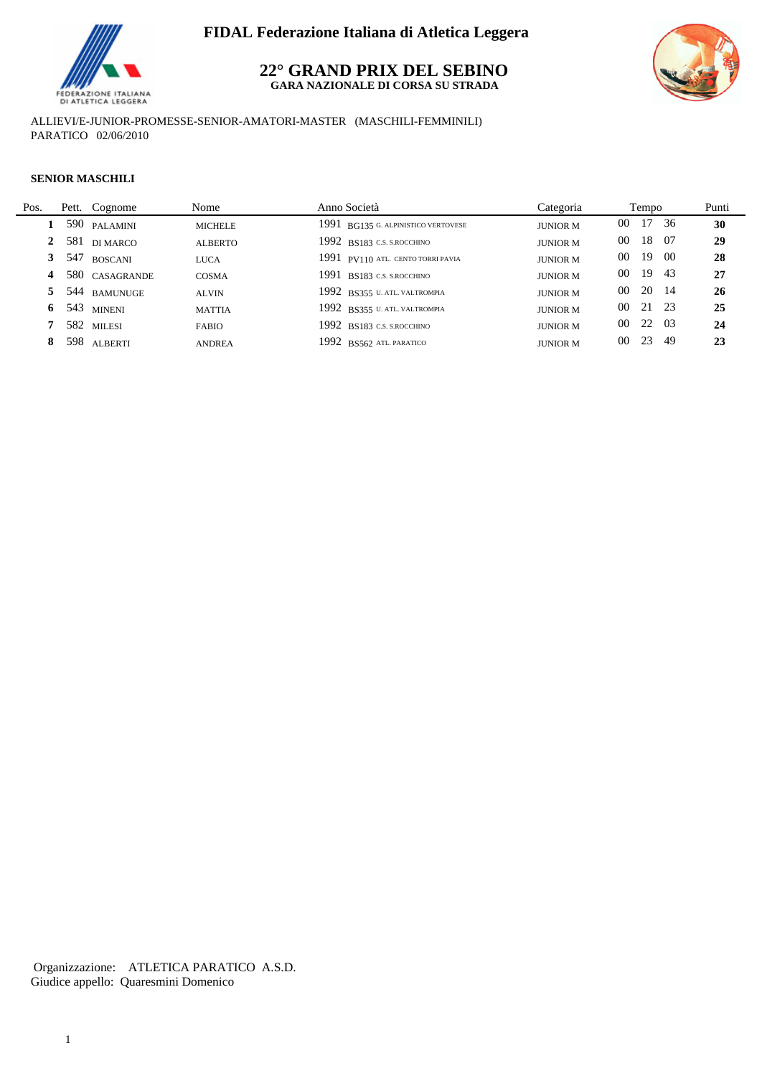

### **22° GRAND PRIX DEL SEBINO GARA NAZIONALE DI CORSA SU STRADA**



ALLIEVI/E-JUNIOR-PROMESSE-SENIOR-AMATORI-MASTER (MASCHILI-FEMMINILI) PARATICO 02/06/2010

#### **SENIOR MASCHILI**

 $\overline{a}$ 

| Pos. | Pett. Cognome  | Nome           | Anno Società                        | Categoria       | Tempo        |       |      | Punti |
|------|----------------|----------------|-------------------------------------|-----------------|--------------|-------|------|-------|
|      | 590 PALAMINI   | <b>MICHELE</b> | 1991 BG135 G. ALPINISTICO VERTOVESE | <b>JUNIOR M</b> | $00\,$       | 17 36 |      | 30    |
|      | 581 di marco   | <b>ALBERTO</b> | $1992$ BS183 C.S. S.ROCCHINO        | <b>JUNIOR M</b> | 00           | 18 07 |      | 29    |
|      | 3 547 BOSCANI  | <b>LUCA</b>    | 1991 PV110 ATL. CENTO TORRI PAVIA   | <b>JUNIOR M</b> | 19<br>$00\,$ |       | - 00 | 28    |
| 4    | 580 CASAGRANDE | COSMA          | 1991 BS183 C.S. S. ROCCHINO         | <b>JUNIOR M</b> | 19<br>00     |       | -43  | 27    |
|      | 5 544 BAMUNUGE | <b>ALVIN</b>   | 1992 BS355 U. ATL. VALTROMPIA       | <b>JUNIOR M</b> | 00           | 20 14 |      | 26    |
| 6    | 543 MINENI     | <b>MATTIA</b>  | 1992 BS355 U. ATL. VALTROMPIA       | <b>JUNIOR M</b> | $00\,$       | 21 23 |      | 25    |
|      | 582 MILESI     | <b>FABIO</b>   | 1992 BS183 C.S. S. ROCCHINO         | <b>JUNIOR M</b> | $00\,$       | 22 03 |      | 24    |
| 8    | 598 ALBERTI    | <b>ANDREA</b>  | 1992 BS562 ATL PARATICO             | <b>JUNIOR M</b> | 23<br>00     |       | -49  | 23    |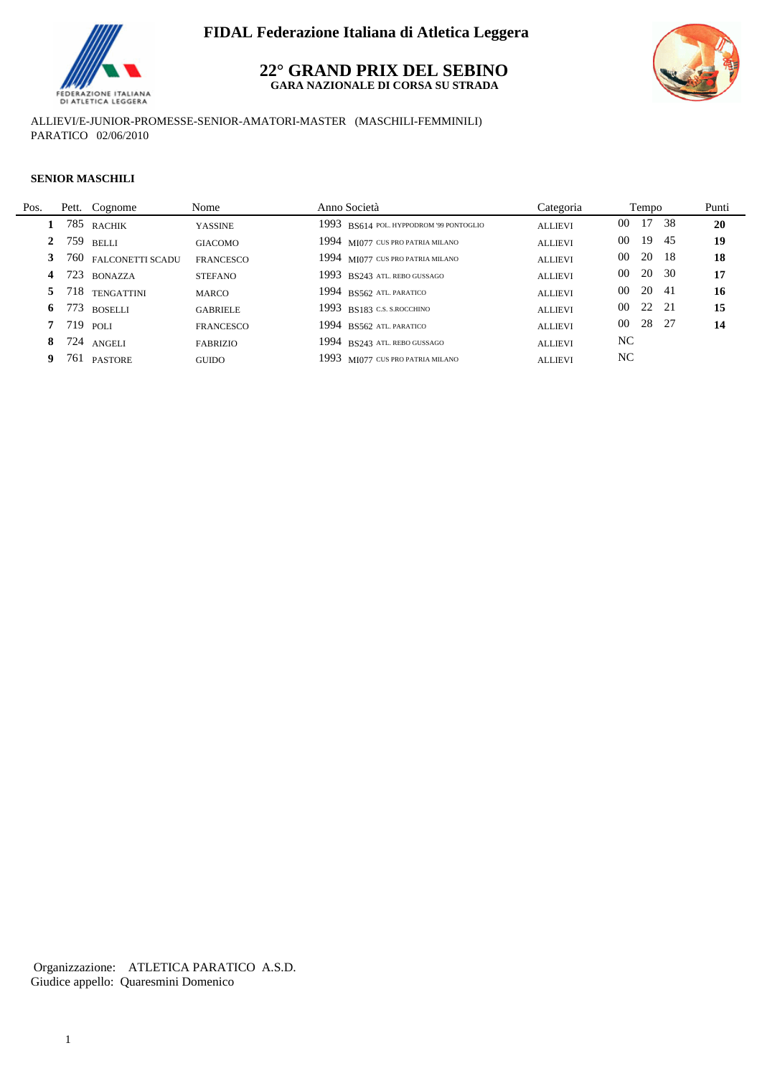

### **22° GRAND PRIX DEL SEBINO GARA NAZIONALE DI CORSA SU STRADA**



ALLIEVI/E-JUNIOR-PROMESSE-SENIOR-AMATORI-MASTER (MASCHILI-FEMMINILI) PARATICO 02/06/2010

#### **SENIOR MASCHILI**

| Pos.         | Pett. Cognome        | Nome             | Anno Società                            | Categoria      | Tempo            | Punti |
|--------------|----------------------|------------------|-----------------------------------------|----------------|------------------|-------|
|              | 785 rachik           | <b>YASSINE</b>   | 1993 BS614 POL. HYPPODROM '99 PONTOGLIO | <b>ALLIEVI</b> | 17 38<br>00      | 20    |
| $\mathbf{2}$ | 759 belli            | <b>GIACOMO</b>   | 1994 MI077 CUS PRO PATRIA MILANO        | <b>ALLIEVI</b> | 19<br>00<br>-45  | 19    |
|              | 760 FALCONETTI SCADU | <b>FRANCESCO</b> | 1994 MI077 CUS PRO PATRIA MILANO        | <b>ALLIEVI</b> | 20 18<br>00      | 18    |
| 4            | 723 BONAZZA          | <b>STEFANO</b>   | 1993 BS243 ATL. REBO GUSSAGO            | <b>ALLIEVI</b> | 20<br>- 30<br>00 | 17    |
| 5            | 718 TENGATTINI       | <b>MARCO</b>     | 1994 BS562 ATL PARATICO                 | <b>ALLIEVI</b> | 20<br>00<br>-41  | 16    |
| 6            | 773 boselli          | <b>GABRIELE</b>  | 1993 BS183 C.S. S. ROCCHINO             | <b>ALLIEVI</b> | 22 21<br>$00\,$  | 15    |
|              | 719 poli             | <b>FRANCESCO</b> | 1994 BS562 ATL PARATICO                 | <b>ALLIEVI</b> | 28 27<br>$00\,$  | 14    |
| 8            | 724 ANGELI           | <b>FABRIZIO</b>  | 1994 BS243 ATL. REBO GUSSAGO            | <b>ALLIEVI</b> | NC.              |       |
|              | 761 PASTORE          | <b>GUIDO</b>     | 1993 MI077 CUS PRO PATRIA MILANO        | <b>ALLIEVI</b> | NC.              |       |